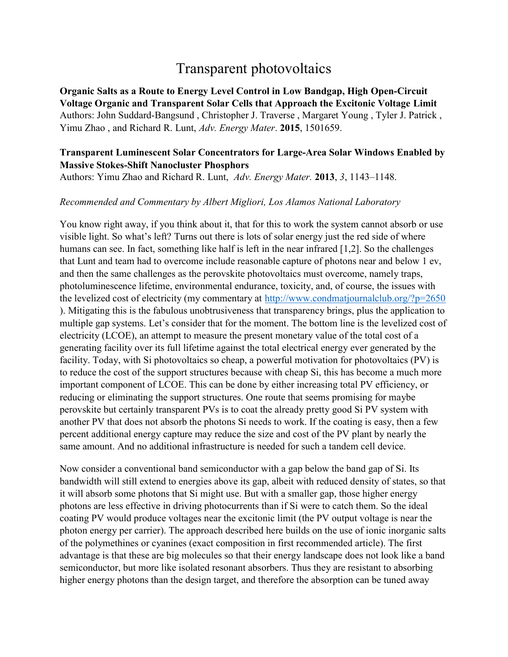## Transparent photovoltaics

**Organic Salts as a Route to Energy Level Control in Low Bandgap, High Open-Circuit Voltage Organic and Transparent Solar Cells that Approach the Excitonic Voltage Limit** Authors: John Suddard-Bangsund , Christopher J. Traverse , Margaret Young , Tyler J. Patrick , Yimu Zhao , and Richard R. Lunt, *Adv. Energy Mater*. **2015**, 1501659.

## **Transparent Luminescent Solar Concentrators for Large-Area Solar Windows Enabled by Massive Stokes-Shift Nanocluster Phosphors**

Authors: Yimu Zhao and Richard R. Lunt, *Adv. Energy Mater.* **2013**, *3*, 1143–1148.

## *Recommended and Commentary by Albert Migliori, Los Alamos National Laboratory*

You know right away, if you think about it, that for this to work the system cannot absorb or use visible light. So what's left? Turns out there is lots of solar energy just the red side of where humans can see. In fact, something like half is left in the near infrared [1,2]. So the challenges that Lunt and team had to overcome include reasonable capture of photons near and below 1 ev, and then the same challenges as the perovskite photovoltaics must overcome, namely traps, photoluminescence lifetime, environmental endurance, toxicity, and, of course, the issues with the levelized cost of electricity (my commentary at http://www.condmatjournalclub.org/?p=2650 ). Mitigating this is the fabulous unobtrusiveness that transparency brings, plus the application to multiple gap systems. Let's consider that for the moment. The bottom line is the levelized cost of electricity (LCOE), an attempt to measure the present monetary value of the total cost of a generating facility over its full lifetime against the total electrical energy ever generated by the facility. Today, with Si photovoltaics so cheap, a powerful motivation for photovoltaics (PV) is to reduce the cost of the support structures because with cheap Si, this has become a much more important component of LCOE. This can be done by either increasing total PV efficiency, or reducing or eliminating the support structures. One route that seems promising for maybe perovskite but certainly transparent PVs is to coat the already pretty good Si PV system with another PV that does not absorb the photons Si needs to work. If the coating is easy, then a few percent additional energy capture may reduce the size and cost of the PV plant by nearly the same amount. And no additional infrastructure is needed for such a tandem cell device.

Now consider a conventional band semiconductor with a gap below the band gap of Si. Its bandwidth will still extend to energies above its gap, albeit with reduced density of states, so that it will absorb some photons that Si might use. But with a smaller gap, those higher energy photons are less effective in driving photocurrents than if Si were to catch them. So the ideal coating PV would produce voltages near the excitonic limit (the PV output voltage is near the photon energy per carrier). The approach described here builds on the use of ionic inorganic salts of the polymethines or cyanines (exact composition in first recommended article). The first advantage is that these are big molecules so that their energy landscape does not look like a band semiconductor, but more like isolated resonant absorbers. Thus they are resistant to absorbing higher energy photons than the design target, and therefore the absorption can be tuned away